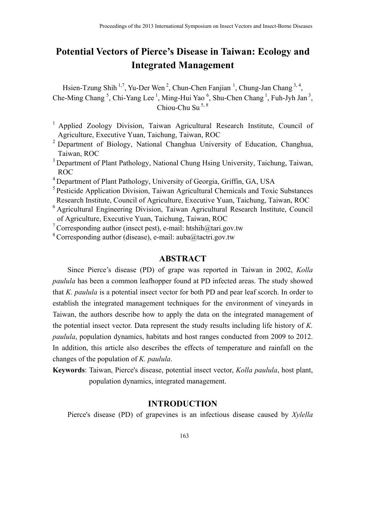# **Potential Vectors of Pierce's Disease in Taiwan: Ecology and Integrated Management**

Hsien-Tzung Shih<sup>1,7</sup>, Yu-Der Wen<sup>2</sup>, Chun-Chen Fanjian<sup>1</sup>, Chung-Jan Chang<sup>3,4</sup>, Che-Ming Chang<sup>5</sup>, Chi-Yang Lee<sup>1</sup>, Ming-Hui Yao<sup>6</sup>, Shu-Chen Chang<sup>1</sup>, Fuh-Jyh Jan<sup>3</sup>,  $Chiou-Chu$  Su  $^{5, 8}$ 

- <sup>1</sup> Applied Zoology Division, Taiwan Agricultural Research Institute, Council of Agriculture, Executive Yuan, Taichung, Taiwan, ROC
- <sup>2</sup> Department of Biology, National Changhua University of Education, Changhua, Taiwan, ROC
- 3 Department of Plant Pathology, National Chung Hsing University, Taichung, Taiwan, ROC
- 4 Department of Plant Pathology, University of Georgia, Griffin, GA, USA
- 5 Pesticide Application Division, Taiwan Agricultural Chemicals and Toxic Substances Research Institute, Council of Agriculture, Executive Yuan, Taichung, Taiwan, ROC
- 6 Agricultural Engineering Division, Taiwan Agricultural Research Institute, Council of Agriculture, Executive Yuan, Taichung, Taiwan, ROC
- <sup>7</sup> Corresponding author (insect pest), e-mail: htshih@tari.gov.tw
- <sup>8</sup> Corresponding author (disease), e-mail: auba@tactri.gov.tw

## **ABSTRACT**

Since Pierce's disease (PD) of grape was reported in Taiwan in 2002, *Kolla paulula* has been a common leafhopper found at PD infected areas. The study showed that *K. paulula* is a potential insect vector for both PD and pear leaf scorch. In order to establish the integrated management techniques for the environment of vineyards in Taiwan, the authors describe how to apply the data on the integrated management of the potential insect vector. Data represent the study results including life history of *K. paulula*, population dynamics, habitats and host ranges conducted from 2009 to 2012. In addition, this article also describes the effects of temperature and rainfall on the changes of the population of *K. paulula*.

**Keywords**: Taiwan, Pierce's disease, potential insect vector, *Kolla paulula*, host plant, population dynamics, integrated management.

## **INTRODUCTION**

Pierce's disease (PD) of grapevines is an infectious disease caused by *Xylella*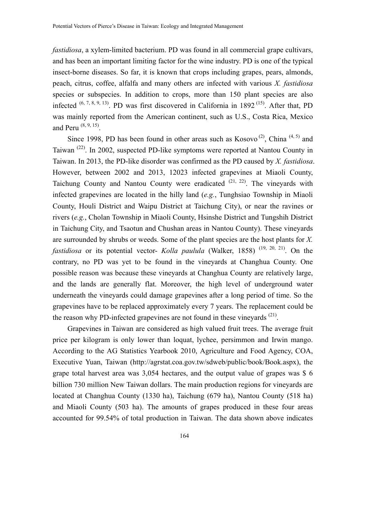*fastidiosa*, a xylem-limited bacterium. PD was found in all commercial grape cultivars, and has been an important limiting factor for the wine industry. PD is one of the typical insect-borne diseases. So far, it is known that crops including grapes, pears, almonds, peach, citrus, coffee, alfalfa and many others are infected with various *X. fastidiosa* species or subspecies. In addition to crops, more than 150 plant species are also infected  $^{(6, 7, 8, 9, 13)}$ . PD was first discovered in California in 1892<sup>(15)</sup>. After that, PD was mainly reported from the American continent, such as U.S., Costa Rica, Mexico and Peru  $(8, 9, 15)$ .

Since 1998, PD has been found in other areas such as  $Kosovo^{(2)}$ , China  $^{(4, 5)}$  and Taiwan (22). In 2002, suspected PD-like symptoms were reported at Nantou County in Taiwan. In 2013, the PD-like disorder was confirmed as the PD caused by *X. fastidiosa*. However, between 2002 and 2013, 12023 infected grapevines at Miaoli County, Taichung County and Nantou County were eradicated  $(21, 22)$ . The vineyards with infected grapevines are located in the hilly land (*e.g.*, Tunghsiao Township in Miaoli County, Houli District and Waipu District at Taichung City), or near the ravines or rivers (*e.g.*, Cholan Township in Miaoli County, Hsinshe District and Tungshih District in Taichung City, and Tsaotun and Chushan areas in Nantou County). These vineyards are surrounded by shrubs or weeds. Some of the plant species are the host plants for *X. fastidiosa* or its potential vector- *Kolla paulula* (Walker, 1858)<sup>(19, 20, 21)</sup>. On the contrary, no PD was yet to be found in the vineyards at Changhua County. One possible reason was because these vineyards at Changhua County are relatively large, and the lands are generally flat. Moreover, the high level of underground water underneath the vineyards could damage grapevines after a long period of time. So the grapevines have to be replaced approximately every 7 years. The replacement could be the reason why PD-infected grapevines are not found in these vineyards  $(21)$ .

Grapevines in Taiwan are considered as high valued fruit trees. The average fruit price per kilogram is only lower than loquat, lychee, persimmon and Irwin mango. According to the AG Statistics Yearbook 2010, Agriculture and Food Agency, COA, Executive Yuan, Taiwan (http://agrstat.coa.gov.tw/sdweb/public/book/Book.aspx), the grape total harvest area was 3,054 hectares, and the output value of grapes was \$ 6 billion 730 million New Taiwan dollars. The main production regions for vineyards are located at Changhua County (1330 ha), Taichung (679 ha), Nantou County (518 ha) and Miaoli County (503 ha). The amounts of grapes produced in these four areas accounted for 99.54% of total production in Taiwan. The data shown above indicates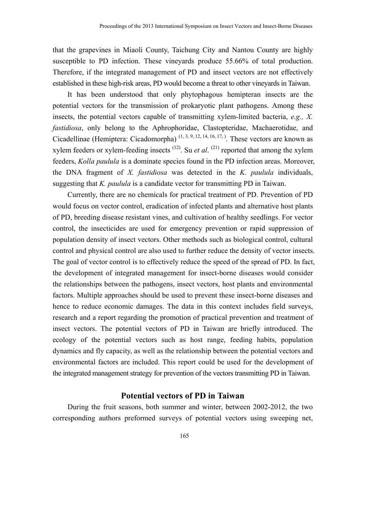that the grapevines in Miaoli County, Taichung City and Nantou County are highly susceptible to PD infection. These vineyards produce 55.66% of total production. Therefore, if the integrated management of PD and insect vectors are not effectively established in these high-risk areas, PD would become a threat to other vineyards in Taiwan.

It has been understood that only phytophagous hemipteran insects are the potential vectors for the transmission of prokaryotic plant pathogens. Among these insects, the potential vectors capable of transmitting xylem-limited bacteria, *e.g., X. fastidiosa*, only belong to the Aphrophoridae, Clastopteridae, Machaerotidae, and Cicadellinae (Hemiptera: Cicadomorpha)<sup> $(1, 3, 9, 12, 14, 16, 17)$ </sup>. These vectors are known as xylem feeders or xylem-feeding insects  $(12)$ . Su *et al.*  $(21)$  reported that among the xylem feeders, *Kolla paulula* is a dominate species found in the PD infection areas. Moreover, the DNA fragment of *X. fastidiosa* was detected in the *K. paulula* individuals, suggesting that *K. paulula* is a candidate vector for transmitting PD in Taiwan.

Currently, there are no chemicals for practical treatment of PD. Prevention of PD would focus on vector control, eradication of infected plants and alternative host plants of PD, breeding disease resistant vines, and cultivation of healthy seedlings. For vector control, the insecticides are used for emergency prevention or rapid suppression of population density of insect vectors. Other methods such as biological control, cultural control and physical control are also used to further reduce the density of vector insects. The goal of vector control is to effectively reduce the speed of the spread of PD. In fact, the development of integrated management for insect-borne diseases would consider the relationships between the pathogens, insect vectors, host plants and environmental factors. Multiple approaches should be used to prevent these insect-borne diseases and hence to reduce economic damages. The data in this context includes field surveys, research and a report regarding the promotion of practical prevention and treatment of insect vectors. The potential vectors of PD in Taiwan are briefly introduced. The ecology of the potential vectors such as host range, feeding habits, population dynamics and fly capacity, as well as the relationship between the potential vectors and environmental factors are included. This report could be used for the development of the integrated management strategy for prevention of the vectors transmitting PD in Taiwan.

### **Potential vectors of PD in Taiwan**

During the fruit seasons, both summer and winter, between 2002-2012, the two corresponding authors preformed surveys of potential vectors using sweeping net,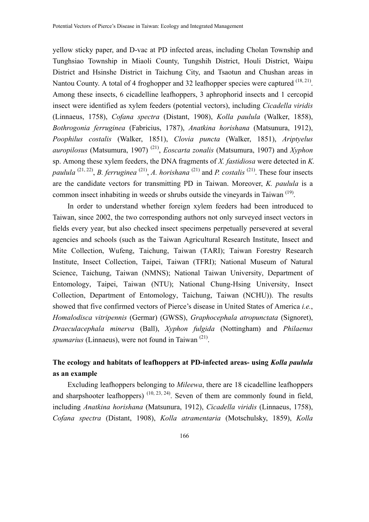yellow sticky paper, and D-vac at PD infected areas, including Cholan Township and Tunghsiao Township in Miaoli County, Tungshih District, Houli District, Waipu District and Hsinshe District in Taichung City, and Tsaotun and Chushan areas in Nantou County. A total of 4 froghopper and 32 leafhopper species were captured <sup>(18, 21)</sup>. Among these insects, 6 cicadelline leafhoppers, 3 aphrophorid insects and 1 cercopid insect were identified as xylem feeders (potential vectors), including *Cicadella viridis* (Linnaeus, 1758), *Cofana spectra* (Distant, 1908), *Kolla paulula* (Walker, 1858), *Bothrogonia ferruginea* (Fabricius, 1787), *Anatkina horishana* (Matsunura, 1912), *Poophilus costalis* (Walker, 1851), *Clovia puncta* (Walker, 1851), *Ariptyelus auropilosus* (Matsumura, 1907) (21), *Eoscarta zonalis* (Matsumura, 1907) and *Xyphon*  sp. Among these xylem feeders, the DNA fragments of *X. fastidiosa* were detected in *K. paulula* (21, 22), *B. ferruginea* (21), *A. horishana* (21) and *P. costalis* (21). These four insects are the candidate vectors for transmitting PD in Taiwan. Moreover, *K. paulula* is a common insect inhabiting in weeds or shrubs outside the vineyards in Taiwan (19).

In order to understand whether foreign xylem feeders had been introduced to Taiwan, since 2002, the two corresponding authors not only surveyed insect vectors in fields every year, but also checked insect specimens perpetually persevered at several agencies and schools (such as the Taiwan Agricultural Research Institute, Insect and Mite Collection, Wufeng, Taichung, Taiwan (TARI); Taiwan Forestry Research Institute, Insect Collection, Taipei, Taiwan (TFRI); National Museum of Natural Science, Taichung, Taiwan (NMNS); National Taiwan University, Department of Entomology, Taipei, Taiwan (NTU); National Chung-Hsing University, Insect Collection, Department of Entomology, Taichung, Taiwan (NCHU)). The results showed that five confirmed vectors of Pierce's disease in United States of America *i.e.*, *Homalodisca vitripennis* (Germar) (GWSS), *Graphocephala atropunctata* (Signoret), *Draeculacephala minerva* (Ball), *Xyphon fulgida* (Nottingham) and *Philaenus spumarius* (Linnaeus), were not found in Taiwan<sup>(21)</sup>.

# **The ecology and habitats of leafhoppers at PD-infected areas- using** *Kolla paulula* **as an example**

Excluding leafhoppers belonging to *Mileewa*, there are 18 cicadelline leafhoppers and sharpshooter leafhoppers)  $(10, 23, 24)$ . Seven of them are commonly found in field, including *Anatkina horishana* (Matsunura, 1912), *Cicadella viridis* (Linnaeus, 1758), *Cofana spectra* (Distant, 1908), *Kolla atramentaria* (Motschulsky, 1859), *Kolla*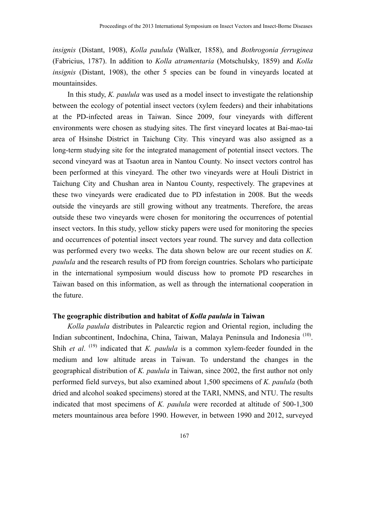*insignis* (Distant, 1908), *Kolla paulula* (Walker, 1858), and *Bothrogonia ferruginea*  (Fabricius, 1787). In addition to *Kolla atramentaria* (Motschulsky, 1859) and *Kolla insignis* (Distant, 1908), the other 5 species can be found in vineyards located at mountainsides.

In this study, *K. paulula* was used as a model insect to investigate the relationship between the ecology of potential insect vectors (xylem feeders) and their inhabitations at the PD-infected areas in Taiwan. Since 2009, four vineyards with different environments were chosen as studying sites. The first vineyard locates at Bai-mao-tai area of Hsinshe District in Taichung City. This vineyard was also assigned as a long-term studying site for the integrated management of potential insect vectors. The second vineyard was at Tsaotun area in Nantou County. No insect vectors control has been performed at this vineyard. The other two vineyards were at Houli District in Taichung City and Chushan area in Nantou County, respectively. The grapevines at these two vineyards were eradicated due to PD infestation in 2008. But the weeds outside the vineyards are still growing without any treatments. Therefore, the areas outside these two vineyards were chosen for monitoring the occurrences of potential insect vectors. In this study, yellow sticky papers were used for monitoring the species and occurrences of potential insect vectors year round. The survey and data collection was performed every two weeks. The data shown below are our recent studies on *K. paulula* and the research results of PD from foreign countries. Scholars who participate in the international symposium would discuss how to promote PD researches in Taiwan based on this information, as well as through the international cooperation in the future.

# **The geographic distribution and habitat of** *Kolla paulula* **in Taiwan**

*Kolla paulula* distributes in Palearctic region and Oriental region, including the Indian subcontinent, Indochina, China, Taiwan, Malaya Peninsula and Indonesia (10). Shih *et al.* (19) indicated that *K. paulula* is a common xylem-feeder founded in the medium and low altitude areas in Taiwan. To understand the changes in the geographical distribution of *K. paulula* in Taiwan, since 2002, the first author not only performed field surveys, but also examined about 1,500 specimens of *K. paulula* (both dried and alcohol soaked specimens) stored at the TARI, NMNS, and NTU. The results indicated that most specimens of *K. paulula* were recorded at altitude of 500-1,300 meters mountainous area before 1990. However, in between 1990 and 2012, surveyed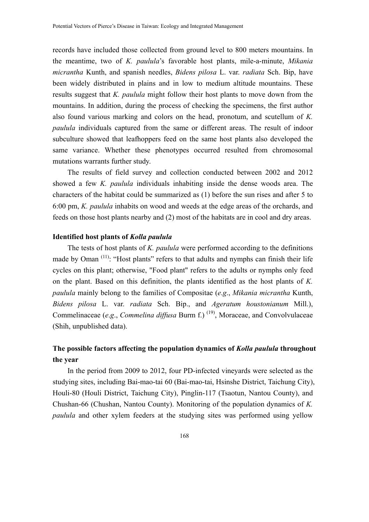records have included those collected from ground level to 800 meters mountains. In the meantime, two of *K. paulula*'s favorable host plants, mile-a-minute, *Mikania micrantha* Kunth, and spanish needles, *Bidens pilosa* L. var. *radiata* Sch. Bip, have been widely distributed in plains and in low to medium altitude mountains. These results suggest that *K. paulula* might follow their host plants to move down from the mountains. In addition, during the process of checking the specimens, the first author also found various marking and colors on the head, pronotum, and scutellum of *K. paulula* individuals captured from the same or different areas. The result of indoor subculture showed that leafhoppers feed on the same host plants also developed the same variance. Whether these phenotypes occurred resulted from chromosomal mutations warrants further study.

The results of field survey and collection conducted between 2002 and 2012 showed a few *K. paulula* individuals inhabiting inside the dense woods area. The characters of the habitat could be summarized as (1) before the sun rises and after 5 to 6:00 pm, *K. paulula* inhabits on wood and weeds at the edge areas of the orchards, and feeds on those host plants nearby and (2) most of the habitats are in cool and dry areas.

#### **Identified host plants of** *Kolla paulula*

The tests of host plants of *K. paulula* were performed according to the definitions made by Oman<sup>(11)</sup>: "Host plants" refers to that adults and nymphs can finish their life cycles on this plant; otherwise, "Food plant" refers to the adults or nymphs only feed on the plant. Based on this definition, the plants identified as the host plants of *K. paulula* mainly belong to the families of Compositae (*e*.*g*., *Mikania micrantha* Kunth, *Bidens pilosa* L. var. *radiata* Sch. Bip., and *Ageratum houstonianum* Mill.), Commelinaceae (*e*.*g*., *Commelina diffusa* Burm f.) (19), Moraceae, and Convolvulaceae (Shih, unpublished data).

# **The possible factors affecting the population dynamics of** *Kolla paulula* **throughout the year**

In the period from 2009 to 2012, four PD-infected vineyards were selected as the studying sites, including Bai-mao-tai 60 (Bai-mao-tai, Hsinshe District, Taichung City), Houli-80 (Houli District, Taichung City), Pinglin-117 (Tsaotun, Nantou County), and Chushan-66 (Chushan, Nantou County). Monitoring of the population dynamics of *K. paulula* and other xylem feeders at the studying sites was performed using yellow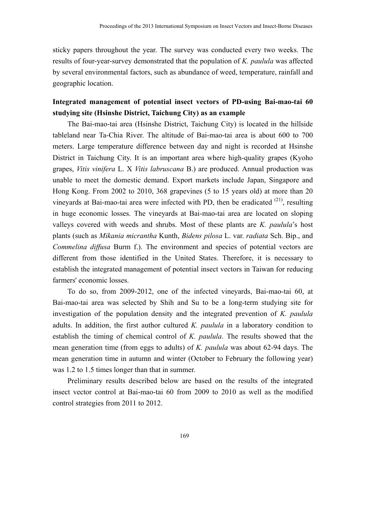sticky papers throughout the year. The survey was conducted every two weeks. The results of four-year-survey demonstrated that the population of *K. paulula* was affected by several environmental factors, such as abundance of weed, temperature, rainfall and geographic location.

# **Integrated management of potential insect vectors of PD-using Bai-mao-tai 60 studying site (Hsinshe District, Taichung City) as an example**

The Bai-mao-tai area (Hsinshe District, Taichung City) is located in the hillside tableland near Ta-Chia River. The altitude of Bai-mao-tai area is about 600 to 700 meters. Large temperature difference between day and night is recorded at Hsinshe District in Taichung City. It is an important area where high-quality grapes (Kyoho grapes, *Vitis vinifera* L. X *Vitis labruscana* B.) are produced. Annual production was unable to meet the domestic demand. Export markets include Japan, Singapore and Hong Kong. From 2002 to 2010, 368 grapevines (5 to 15 years old) at more than 20 vineyards at Bai-mao-tai area were infected with PD, then be eradicated  $(21)$ , resulting in huge economic losses. The vineyards at Bai-mao-tai area are located on sloping valleys covered with weeds and shrubs. Most of these plants are *K. paulula*'s host plants (such as *Mikania micrantha* Kunth, *Bidens pilosa* L. var. *radiata* Sch. Bip., and *Commelina diffusa* Burm f.). The environment and species of potential vectors are different from those identified in the United States. Therefore, it is necessary to establish the integrated management of potential insect vectors in Taiwan for reducing farmers' economic losses.

To do so, from 2009-2012, one of the infected vineyards, Bai-mao-tai 60, at Bai-mao-tai area was selected by Shih and Su to be a long-term studying site for investigation of the population density and the integrated prevention of *K. paulula* adults. In addition, the first author cultured *K. paulula* in a laboratory condition to establish the timing of chemical control of *K. paulula*. The results showed that the mean generation time (from eggs to adults) of *K. paulula* was about 62-94 days. The mean generation time in autumn and winter (October to February the following year) was 1.2 to 1.5 times longer than that in summer.

Preliminary results described below are based on the results of the integrated insect vector control at Bai-mao-tai 60 from 2009 to 2010 as well as the modified control strategies from 2011 to 2012.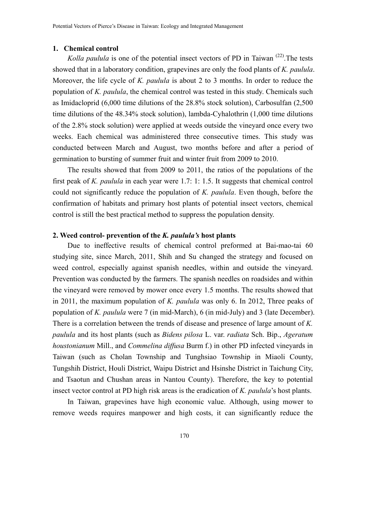#### **1. Chemical control**

*Kolla paulula* is one of the potential insect vectors of PD in Taiwan<sup>(22)</sup>. The tests showed that in a laboratory condition, grapevines are only the food plants of *K. paulula*. Moreover, the life cycle of *K. paulula* is about 2 to 3 months. In order to reduce the population of *K. paulula*, the chemical control was tested in this study. Chemicals such as Imidacloprid (6,000 time dilutions of the 28.8% stock solution), Carbosulfan (2,500 time dilutions of the 48.34% stock solution), lambda-Cyhalothrin (1,000 time dilutions of the 2.8% stock solution) were applied at weeds outside the vineyard once every two weeks. Each chemical was administered three consecutive times. This study was conducted between March and August, two months before and after a period of germination to bursting of summer fruit and winter fruit from 2009 to 2010.

The results showed that from 2009 to 2011, the ratios of the populations of the first peak of *K. paulula* in each year were 1.7: 1: 1.5. It suggests that chemical control could not significantly reduce the population of *K. paulula*. Even though, before the confirmation of habitats and primary host plants of potential insect vectors, chemical control is still the best practical method to suppress the population density.

#### **2. Weed control- prevention of the** *K. paulula's* **host plants**

Due to ineffective results of chemical control preformed at Bai-mao-tai 60 studying site, since March, 2011, Shih and Su changed the strategy and focused on weed control, especially against spanish needles, within and outside the vineyard. Prevention was conducted by the farmers. The spanish needles on roadsides and within the vineyard were removed by mower once every 1.5 months. The results showed that in 2011, the maximum population of *K. paulula* was only 6. In 2012, Three peaks of population of *K. paulula* were 7 (in mid-March), 6 (in mid-July) and 3 (late December). There is a correlation between the trends of disease and presence of large amount of *K. paulula* and its host plants (such as *Bidens pilosa* L. var. *radiata* Sch. Bip., *Ageratum houstonianum* Mill., and *Commelina diffusa* Burm f.) in other PD infected vineyards in Taiwan (such as Cholan Township and Tunghsiao Township in Miaoli County, Tungshih District, Houli District, Waipu District and Hsinshe District in Taichung City, and Tsaotun and Chushan areas in Nantou County). Therefore, the key to potential insect vector control at PD high risk areas is the eradication of *K. paulula*'s host plants.

In Taiwan, grapevines have high economic value. Although, using mower to remove weeds requires manpower and high costs, it can significantly reduce the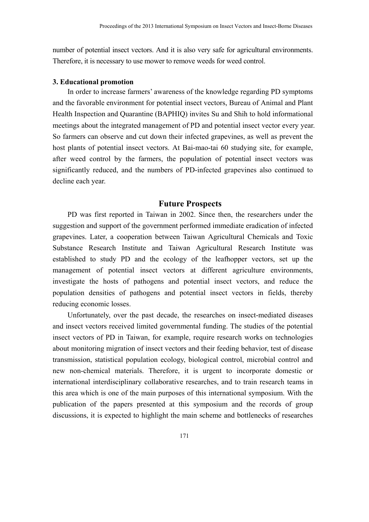number of potential insect vectors. And it is also very safe for agricultural environments. Therefore, it is necessary to use mower to remove weeds for weed control.

#### **3. Educational promotion**

In order to increase farmers' awareness of the knowledge regarding PD symptoms and the favorable environment for potential insect vectors, Bureau of Animal and Plant Health Inspection and Quarantine (BAPHIQ) invites Su and Shih to hold informational meetings about the integrated management of PD and potential insect vector every year. So farmers can observe and cut down their infected grapevines, as well as prevent the host plants of potential insect vectors. At Bai-mao-tai 60 studying site, for example, after weed control by the farmers, the population of potential insect vectors was significantly reduced, and the numbers of PD-infected grapevines also continued to decline each year.

### **Future Prospects**

PD was first reported in Taiwan in 2002. Since then, the researchers under the suggestion and support of the government performed immediate eradication of infected grapevines. Later, a cooperation between Taiwan Agricultural Chemicals and Toxic Substance Research Institute and Taiwan Agricultural Research Institute was established to study PD and the ecology of the leafhopper vectors, set up the management of potential insect vectors at different agriculture environments, investigate the hosts of pathogens and potential insect vectors, and reduce the population densities of pathogens and potential insect vectors in fields, thereby reducing economic losses.

Unfortunately, over the past decade, the researches on insect-mediated diseases and insect vectors received limited governmental funding. The studies of the potential insect vectors of PD in Taiwan, for example, require research works on technologies about monitoring migration of insect vectors and their feeding behavior, test of disease transmission, statistical population ecology, biological control, microbial control and new non-chemical materials. Therefore, it is urgent to incorporate domestic or international interdisciplinary collaborative researches, and to train research teams in this area which is one of the main purposes of this international symposium. With the publication of the papers presented at this symposium and the records of group discussions, it is expected to highlight the main scheme and bottlenecks of researches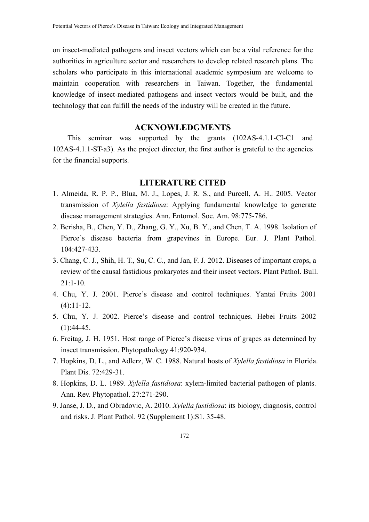on insect-mediated pathogens and insect vectors which can be a vital reference for the authorities in agriculture sector and researchers to develop related research plans. The scholars who participate in this international academic symposium are welcome to maintain cooperation with researchers in Taiwan. Together, the fundamental knowledge of insect-mediated pathogens and insect vectors would be built, and the technology that can fulfill the needs of the industry will be created in the future.

# **ACKNOWLEDGMENTS**

This seminar was supported by the grants (102AS-4.1.1-CI-C1 and 102AS-4.1.1-ST-a3). As the project director, the first author is grateful to the agencies for the financial supports.

### **LITERATURE CITED**

- 1. Almeida, R. P. P., Blua, M. J., Lopes, J. R. S., and Purcell, A. H.. 2005. Vector transmission of *Xylella fastidiosa*: Applying fundamental knowledge to generate disease management strategies. Ann. Entomol. Soc. Am. 98:775-786.
- 2. Berisha, B., Chen, Y. D., Zhang, G. Y., Xu, B. Y., and Chen, T. A. 1998. Isolation of Pierce's disease bacteria from grapevines in Europe. Eur. J. Plant Pathol. 104:427-433.
- 3. Chang, C. J., Shih, H. T., Su, C. C., and Jan, F. J. 2012. Diseases of important crops, a review of the causal fastidious prokaryotes and their insect vectors. Plant Pathol. Bull.  $21:1-10.$
- 4. Chu, Y. J. 2001. Pierce's disease and control techniques. Yantai Fruits 2001  $(4):11-12.$
- 5. Chu, Y. J. 2002. Pierce's disease and control techniques. Hebei Fruits 2002  $(1):44-45.$
- 6. Freitag, J. H. 1951. Host range of Pierce's disease virus of grapes as determined by insect transmission. Phytopathology 41:920-934.
- 7. Hopkins, D. L., and Adlerz, W. C. 1988. Natural hosts of *Xylella fastidiosa* in Florida. Plant Dis. 72:429-31.
- 8. Hopkins, D. L. 1989. *Xylella fastidiosa*: xylem-limited bacterial pathogen of plants. Ann. Rev. Phytopathol. 27:271-290.
- 9. Janse, J. D., and Obradovic, A. 2010. *Xylella fastidiosa*: its biology, diagnosis, control and risks. J. Plant Pathol. 92 (Supplement 1):S1. 35-48.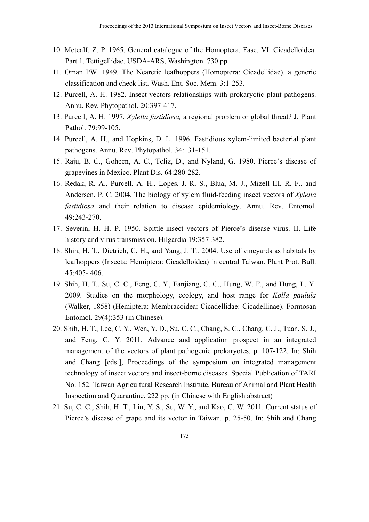- 10. Metcalf, Z. P. 1965. General catalogue of the Homoptera. Fasc. VI. Cicadelloidea. Part 1. Tettigellidae. USDA-ARS, Washington. 730 pp.
- 11. Oman PW. 1949. The Nearctic leafhoppers (Homoptera: Cicadellidae). a generic classification and check list. Wash. Ent. Soc. Mem. 3:1-253.
- 12. Purcell, A. H. 1982. Insect vectors relationships with prokaryotic plant pathogens. Annu. Rev. Phytopathol. 20:397-417.
- 13. Purcell, A. H. 1997. *Xylella fastidiosa,* a regional problem or global threat? J. Plant Pathol. 79:99-105.
- 14. Purcell, A. H., and Hopkins, D. L. 1996. Fastidious xylem-limited bacterial plant pathogens. Annu. Rev. Phytopathol. 34:131-151.
- 15. Raju, B. C., Goheen, A. C., Teliz, D., and Nyland, G. 1980. Pierce's disease of grapevines in Mexico. Plant Dis. 64:280-282.
- 16. Redak, R. A., Purcell, A. H., Lopes, J. R. S., Blua, M. J., Mizell III, R. F., and Andersen, P. C. 2004. The biology of xylem fluid-feeding insect vectors of *Xylella fastidiosa* and their relation to disease epidemiology. Annu. Rev. Entomol. 49:243-270.
- 17. Severin, H. H. P. 1950. Spittle-insect vectors of Pierce's disease virus. II. Life history and virus transmission. Hilgardia 19:357-382.
- 18. Shih, H. T., Dietrich, C. H., and Yang, J. T.. 2004. Use of vineyards as habitats by leafhoppers (Insecta: Hemiptera: Cicadelloidea) in central Taiwan. Plant Prot. Bull. 45:405- 406.
- 19. Shih, H. T., Su, C. C., Feng, C. Y., Fanjiang, C. C., Hung, W. F., and Hung, L. Y. 2009. Studies on the morphology, ecology, and host range for *Kolla paulula* (Walker, 1858) (Hemiptera: Membracoidea: Cicadellidae: Cicadellinae). Formosan Entomol. 29(4):353 (in Chinese).
- 20. Shih, H. T., Lee, C. Y., Wen, Y. D., Su, C. C., Chang, S. C., Chang, C. J., Tuan, S. J., and Feng, C. Y. 2011. Advance and application prospect in an integrated management of the vectors of plant pathogenic prokaryotes. p. 107-122. In: Shih and Chang [eds.], Proceedings of the symposium on integrated management technology of insect vectors and insect-borne diseases. Special Publication of TARI No. 152. Taiwan Agricultural Research Institute, Bureau of Animal and Plant Health Inspection and Quarantine. 222 pp. (in Chinese with English abstract)
- 21. Su, C. C., Shih, H. T., Lin, Y. S., Su, W. Y., and Kao, C. W. 2011. Current status of Pierce's disease of grape and its vector in Taiwan. p. 25-50. In: Shih and Chang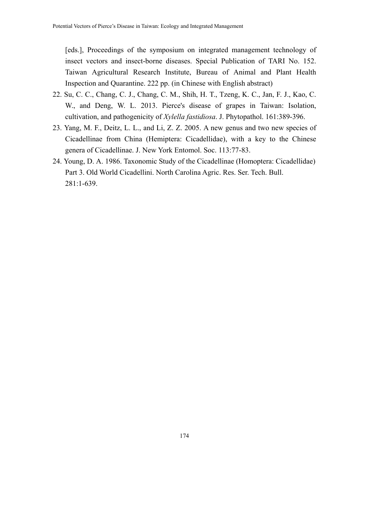[eds.], Proceedings of the symposium on integrated management technology of insect vectors and insect-borne diseases. Special Publication of TARI No. 152. Taiwan Agricultural Research Institute, Bureau of Animal and Plant Health Inspection and Quarantine. 222 pp. (in Chinese with English abstract)

- 22. Su, C. C., Chang, C. J., Chang, C. M., Shih, H. T., Tzeng, K. C., Jan, F. J., Kao, C. W<sub>r</sub> and Deng, W. L. 2013. Pierce's disease of grapes in Taiwan: Isolation, cultivation, and pathogenicity of *Xylella fastidiosa*. J. Phytopathol. 161:389-396.
- 23. Yang, M. F., Deitz, L. L., and Li, Z. Z. 2005. A new genus and two new species of Cicadellinae from China (Hemiptera: Cicadellidae), with a key to the Chinese genera of Cicadellinae. J. New York Entomol. Soc. 113:77-83.
- 24. Young, D. A. 1986. Taxonomic Study of the Cicadellinae (Homoptera: Cicadellidae) Part 3. Old World Cicadellini. North Carolina Agric. Res. Ser. Tech. Bull. 281:1-639.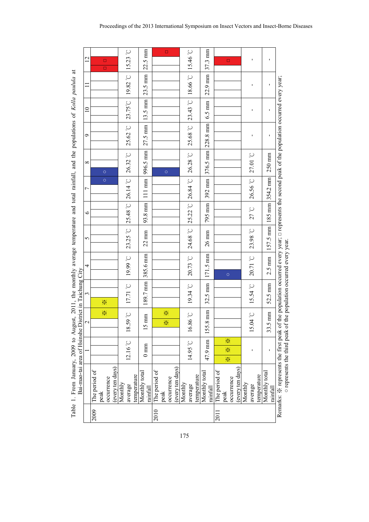|      | Bai-mao-tai area of Hsinshe District in Taichung City |                        |                                                                    |                      |                                                                                                                 |                              |                       |                  |                          |                   |                   |                             |                   |
|------|-------------------------------------------------------|------------------------|--------------------------------------------------------------------|----------------------|-----------------------------------------------------------------------------------------------------------------|------------------------------|-----------------------|------------------|--------------------------|-------------------|-------------------|-----------------------------|-------------------|
|      |                                                       |                        | $\sim$                                                             | 3                    | 4                                                                                                               | 5                            | $\bullet$             | $\overline{ }$   | $^{\circ}$               | Ó                 | $\supseteq$       | $\Box$                      | $\overline{2}$    |
| 2009 | he period of                                          |                        |                                                                    |                      |                                                                                                                 |                              |                       |                  |                          |                   |                   |                             |                   |
|      | peak                                                  |                        | ☀                                                                  | ☀                    |                                                                                                                 |                              |                       | $\circ$          | $\circ$                  |                   |                   |                             | $\Box$<br>$\Box$  |
|      | occurrence                                            |                        |                                                                    |                      |                                                                                                                 |                              |                       |                  |                          |                   |                   |                             |                   |
|      | (every ten days)                                      |                        |                                                                    |                      |                                                                                                                 |                              |                       |                  |                          |                   |                   |                             |                   |
|      | Monthly                                               |                        |                                                                    |                      |                                                                                                                 |                              |                       |                  |                          |                   |                   |                             |                   |
|      | average                                               | $12.16\degree\text{C}$ | 3.59 °C<br>$\overline{18}$                                         | 17.71 <sup>°</sup> C | <b>2.6661</b>                                                                                                   | $23.25$ °C                   | 25.48 °C 26.14 °C     |                  | 26.32 °C                 | 25.62 °C          | 23.75°C           | $19.82\ ^{\circ}\mathrm{C}$ | $15.23$ °C        |
|      | temperature                                           |                        |                                                                    |                      |                                                                                                                 |                              |                       |                  |                          |                   |                   |                             |                   |
|      | Monthly total<br>rainfall                             | $0 \text{ mm}$         | $5 \text{ mm}$                                                     | 189.7 mm             | 385.6 mm                                                                                                        | $22 \text{ mm}$              | 93.8 mm               | $111 \text{ mm}$ | 996.5 mm                 | $27.5 \text{ mm}$ | $13.5 \text{ mm}$ | 23.5 mm                     | $22.5 \text{ mm}$ |
| 2010 | The period of                                         |                        |                                                                    |                      |                                                                                                                 |                              |                       |                  |                          |                   |                   |                             |                   |
|      | peak                                                  |                        | ×<br>×                                                             |                      |                                                                                                                 |                              |                       |                  | $\circ$                  |                   |                   |                             | $\Box$            |
|      | occurrence                                            |                        |                                                                    |                      |                                                                                                                 |                              |                       |                  |                          |                   |                   |                             |                   |
|      | (every ten days)                                      |                        |                                                                    |                      |                                                                                                                 |                              |                       |                  |                          |                   |                   |                             |                   |
|      | Monthly                                               |                        |                                                                    |                      |                                                                                                                 |                              |                       |                  |                          |                   |                   |                             |                   |
|      | average                                               | 14.95 °C               | 0.86°                                                              | $19.34\degree$ C     | $20.73$ °C                                                                                                      | 24.68 °C                     | $25.22$ °C $26.84$ °C |                  | $26.28\degree\text{C}$   | 25.68 °C 23.43 °C |                   | 18.66 °C 15.46 °C           |                   |
|      | temperature                                           |                        |                                                                    |                      |                                                                                                                 |                              |                       |                  |                          |                   |                   |                             |                   |
|      | Monthly total<br>rainfall                             | 47.9 mm                | 155.8 mm                                                           | $32.5$ mm            | 171.5 mm                                                                                                        | $26 \text{ mm}$              | 795 mm                |                  | 392 mm 376.5 mm 228.8 mm |                   | $6.5 \text{ mm}$  | $22.9$ mm $37.3$ mm         |                   |
| 2011 | The period of                                         |                        |                                                                    |                      |                                                                                                                 |                              |                       |                  |                          |                   |                   |                             |                   |
|      | peak                                                  | ☀<br>☀<br>☀            |                                                                    |                      | $\circ$                                                                                                         |                              |                       |                  |                          |                   |                   |                             | $\Box$            |
|      | occurrence                                            |                        |                                                                    |                      |                                                                                                                 |                              |                       |                  |                          |                   |                   |                             |                   |
|      | (every ten days)                                      |                        |                                                                    |                      |                                                                                                                 |                              |                       |                  |                          |                   |                   |                             |                   |
|      | Monthly                                               |                        |                                                                    |                      |                                                                                                                 |                              |                       |                  |                          |                   |                   |                             |                   |
|      | average                                               |                        | 15.04 °C                                                           | $15.54^{\circ}$ C    | 20.71 °C                                                                                                        | 23.98 °C                     | 27 °C                 | 26.56 °C         | 27.01 °C                 | ı                 | $\blacksquare$    | ı                           | ı                 |
|      | temperature                                           |                        |                                                                    |                      |                                                                                                                 |                              |                       |                  |                          |                   |                   |                             |                   |
|      | Monthly total<br>rainfall                             |                        | $5 \text{ mm}$<br>33.                                              | $52.5 \text{ mm}$    | $2.5 \text{ mm}$                                                                                                | 157.5 mm   185 mm   354.2 mm |                       |                  | 250 mm                   | ı                 | ı                 | ı                           | ı                 |
|      | Remarks: ※ represents the first peak                  |                        | o represents the third peak of the population occurred every year. |                      | of the population occurred every year; $\Box$ represents the second peak of the population occurred every year; |                              |                       |                  |                          |                   |                   |                             |                   |